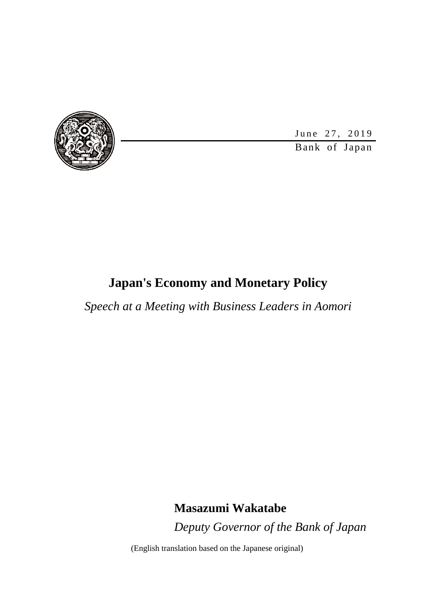

June 27, 2019

Bank of Japan

### **Japan's Economy and Monetary Policy**

*Speech at a Meeting with Business Leaders in Aomori*

**Masazumi Wakatabe** *Deputy Governor of the Bank of Japan*

(English translation based on the Japanese original)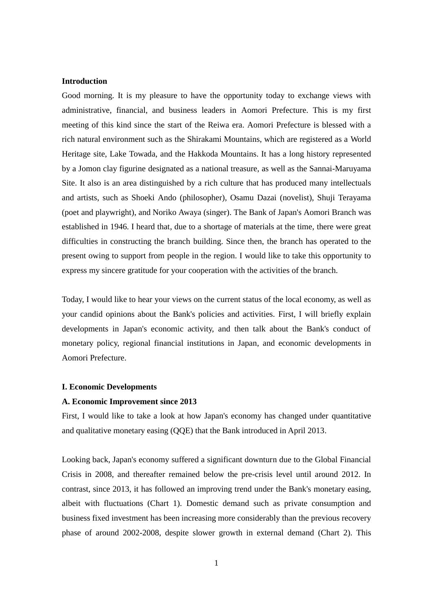#### **Introduction**

Good morning. It is my pleasure to have the opportunity today to exchange views with administrative, financial, and business leaders in Aomori Prefecture. This is my first meeting of this kind since the start of the Reiwa era. Aomori Prefecture is blessed with a rich natural environment such as the Shirakami Mountains, which are registered as a World Heritage site, Lake Towada, and the Hakkoda Mountains. It has a long history represented by a Jomon clay figurine designated as a national treasure, as well as the Sannai-Maruyama Site. It also is an area distinguished by a rich culture that has produced many intellectuals and artists, such as Shoeki Ando (philosopher), Osamu Dazai (novelist), Shuji Terayama (poet and playwright), and Noriko Awaya (singer). The Bank of Japan's Aomori Branch was established in 1946. I heard that, due to a shortage of materials at the time, there were great difficulties in constructing the branch building. Since then, the branch has operated to the present owing to support from people in the region. I would like to take this opportunity to express my sincere gratitude for your cooperation with the activities of the branch.

Today, I would like to hear your views on the current status of the local economy, as well as your candid opinions about the Bank's policies and activities. First, I will briefly explain developments in Japan's economic activity, and then talk about the Bank's conduct of monetary policy, regional financial institutions in Japan, and economic developments in Aomori Prefecture.

#### **I. Economic Developments**

#### **A. Economic Improvement since 2013**

First, I would like to take a look at how Japan's economy has changed under quantitative and qualitative monetary easing (QQE) that the Bank introduced in April 2013.

Looking back, Japan's economy suffered a significant downturn due to the Global Financial Crisis in 2008, and thereafter remained below the pre-crisis level until around 2012. In contrast, since 2013, it has followed an improving trend under the Bank's monetary easing, albeit with fluctuations (Chart 1). Domestic demand such as private consumption and business fixed investment has been increasing more considerably than the previous recovery phase of around 2002-2008, despite slower growth in external demand (Chart 2). This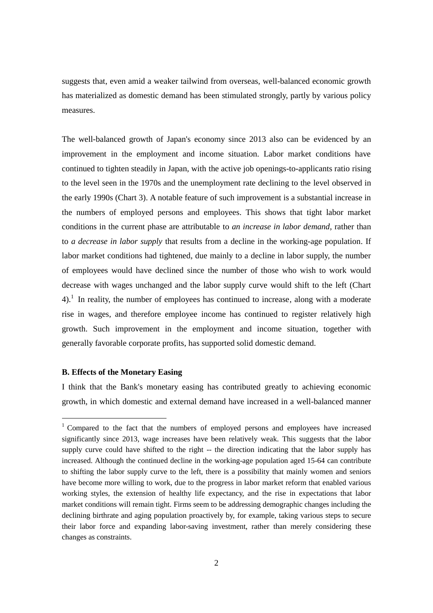suggests that, even amid a weaker tailwind from overseas, well-balanced economic growth has materialized as domestic demand has been stimulated strongly, partly by various policy measures.

The well-balanced growth of Japan's economy since 2013 also can be evidenced by an improvement in the employment and income situation. Labor market conditions have continued to tighten steadily in Japan, with the active job openings-to-applicants ratio rising to the level seen in the 1970s and the unemployment rate declining to the level observed in the early 1990s (Chart 3). A notable feature of such improvement is a substantial increase in the numbers of employed persons and employees. This shows that tight labor market conditions in the current phase are attributable to *an increase in labor demand*, rather than to *a decrease in labor supply* that results from a decline in the working-age population. If labor market conditions had tightened, due mainly to a decline in labor supply, the number of employees would have declined since the number of those who wish to work would decrease with wages unchanged and the labor supply curve would shift to the left (Chart  $4$ ).<sup>1</sup> In reality, the number of employees has continued to increase, along with a moderate rise in wages, and therefore employee income has continued to register relatively high growth. Such improvement in the employment and income situation, together with generally favorable corporate profits, has supported solid domestic demand.

#### **B. Effects of the Monetary Easing**

 $\overline{a}$ 

I think that the Bank's monetary easing has contributed greatly to achieving economic growth, in which domestic and external demand have increased in a well-balanced manner

<sup>1</sup> Compared to the fact that the numbers of employed persons and employees have increased significantly since 2013, wage increases have been relatively weak. This suggests that the labor supply curve could have shifted to the right -- the direction indicating that the labor supply has increased. Although the continued decline in the working-age population aged 15-64 can contribute to shifting the labor supply curve to the left, there is a possibility that mainly women and seniors have become more willing to work, due to the progress in labor market reform that enabled various working styles, the extension of healthy life expectancy, and the rise in expectations that labor market conditions will remain tight. Firms seem to be addressing demographic changes including the declining birthrate and aging population proactively by, for example, taking various steps to secure their labor force and expanding labor-saving investment, rather than merely considering these changes as constraints.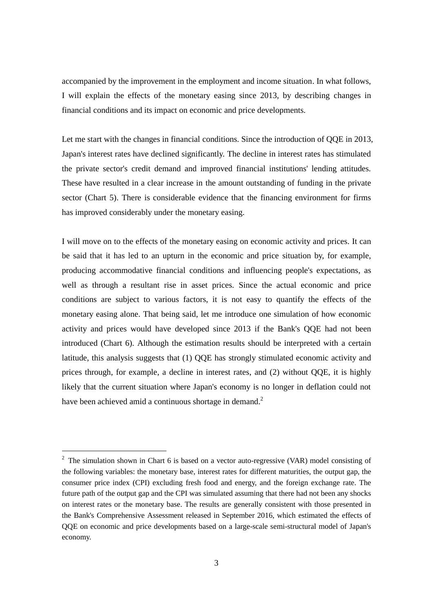accompanied by the improvement in the employment and income situation. In what follows, I will explain the effects of the monetary easing since 2013, by describing changes in financial conditions and its impact on economic and price developments.

Let me start with the changes in financial conditions. Since the introduction of QQE in 2013, Japan's interest rates have declined significantly. The decline in interest rates has stimulated the private sector's credit demand and improved financial institutions' lending attitudes. These have resulted in a clear increase in the amount outstanding of funding in the private sector (Chart 5). There is considerable evidence that the financing environment for firms has improved considerably under the monetary easing.

I will move on to the effects of the monetary easing on economic activity and prices. It can be said that it has led to an upturn in the economic and price situation by, for example, producing accommodative financial conditions and influencing people's expectations, as well as through a resultant rise in asset prices. Since the actual economic and price conditions are subject to various factors, it is not easy to quantify the effects of the monetary easing alone. That being said, let me introduce one simulation of how economic activity and prices would have developed since 2013 if the Bank's QQE had not been introduced (Chart 6). Although the estimation results should be interpreted with a certain latitude, this analysis suggests that (1) QQE has strongly stimulated economic activity and prices through, for example, a decline in interest rates, and (2) without QQE, it is highly likely that the current situation where Japan's economy is no longer in deflation could not have been achieved amid a continuous shortage in demand.<sup>2</sup>

 $2$  The simulation shown in Chart 6 is based on a vector auto-regressive (VAR) model consisting of the following variables: the monetary base, interest rates for different maturities, the output gap, the consumer price index (CPI) excluding fresh food and energy, and the foreign exchange rate. The future path of the output gap and the CPI was simulated assuming that there had not been any shocks on interest rates or the monetary base. The results are generally consistent with those presented in the Bank's Comprehensive Assessment released in September 2016, which estimated the effects of QQE on economic and price developments based on a large-scale semi-structural model of Japan's economy.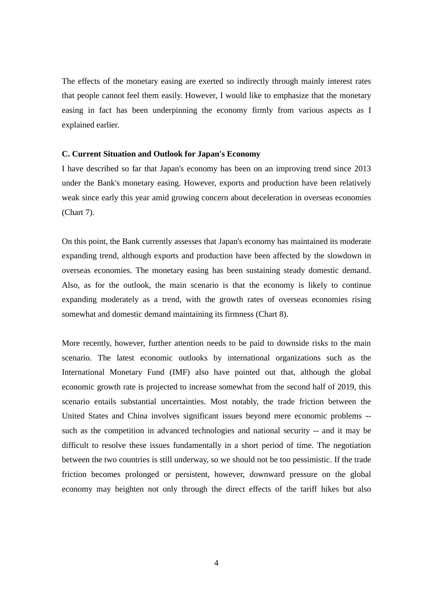The effects of the monetary easing are exerted so indirectly through mainly interest rates that people cannot feel them easily. However, I would like to emphasize that the monetary easing in fact has been underpinning the economy firmly from various aspects as I explained earlier.

#### **C. Current Situation and Outlook for Japan's Economy**

I have described so far that Japan's economy has been on an improving trend since 2013 under the Bank's monetary easing. However, exports and production have been relatively weak since early this year amid growing concern about deceleration in overseas economies (Chart 7).

On this point, the Bank currently assesses that Japan's economy has maintained its moderate expanding trend, although exports and production have been affected by the slowdown in overseas economies. The monetary easing has been sustaining steady domestic demand. Also, as for the outlook, the main scenario is that the economy is likely to continue expanding moderately as a trend, with the growth rates of overseas economies rising somewhat and domestic demand maintaining its firmness (Chart 8).

More recently, however, further attention needs to be paid to downside risks to the main scenario. The latest economic outlooks by international organizations such as the International Monetary Fund (IMF) also have pointed out that, although the global economic growth rate is projected to increase somewhat from the second half of 2019, this scenario entails substantial uncertainties. Most notably, the trade friction between the United States and China involves significant issues beyond mere economic problems - such as the competition in advanced technologies and national security -- and it may be difficult to resolve these issues fundamentally in a short period of time. The negotiation between the two countries is still underway, so we should not be too pessimistic. If the trade friction becomes prolonged or persistent, however, downward pressure on the global economy may heighten not only through the direct effects of the tariff hikes but also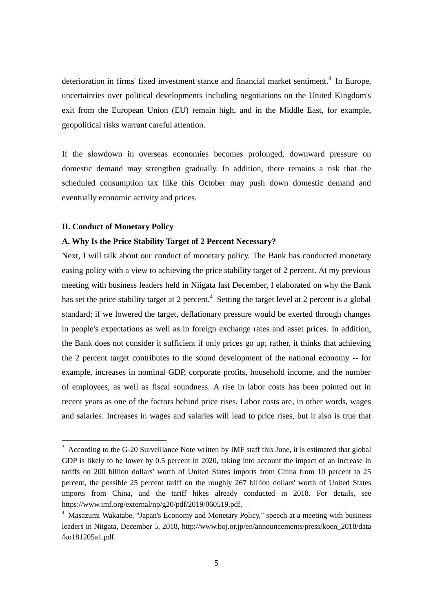deterioration in firms' fixed investment stance and financial market sentiment.<sup>3</sup> In Europe, uncertainties over political developments including negotiations on the United Kingdom's exit from the European Union (EU) remain high, and in the Middle East, for example, geopolitical risks warrant careful attention.

If the slowdown in overseas economies becomes prolonged, downward pressure on domestic demand may strengthen gradually. In addition, there remains a risk that the scheduled consumption tax hike this October may push down domestic demand and eventually economic activity and prices.

#### **II. Conduct of Monetary Policy**

 $\overline{a}$ 

### **A. Why Is the Price Stability Target of 2 Percent Necessary?**

Next, I will talk about our conduct of monetary policy. The Bank has conducted monetary easing policy with a view to achieving the price stability target of 2 percent. At my previous meeting with business leaders held in Niigata last December, I elaborated on why the Bank has set the price stability target at 2 percent.<sup>4</sup> Setting the target level at 2 percent is a global standard; if we lowered the target, deflationary pressure would be exerted through changes in people's expectations as well as in foreign exchange rates and asset prices. In addition, the Bank does not consider it sufficient if only prices go up; rather, it thinks that achieving the 2 percent target contributes to the sound development of the national economy -- for example, increases in nominal GDP, corporate profits, household income, and the number of employees, as well as fiscal soundness. A rise in labor costs has been pointed out in recent years as one of the factors behind price rises. Labor costs are, in other words, wages and salaries. Increases in wages and salaries will lead to price rises, but it also is true that

<sup>&</sup>lt;sup>3</sup> According to the G-20 Surveillance Note written by IMF staff this June, it is estimated that global GDP is likely to be lower by 0.5 percent in 2020, taking into account the impact of an increase in tariffs on 200 billion dollars' worth of United States imports from China from 10 percent to 25 percent, the possible 25 percent tariff on the roughly 267 billion dollars' worth of United States imports from China, and the tariff hikes already conducted in 2018. For details, see https://www.imf.org/external/np/g20/pdf/2019/060519.pdf.

<sup>&</sup>lt;sup>4</sup> Masazumi Wakatabe, "Japan's Economy and Monetary Policy," speech at a meeting with business leaders in Niigata, December 5, 2018, http://www.boj.or.jp/en/announcements/press/koen\_2018/data /ko181205a1.pdf.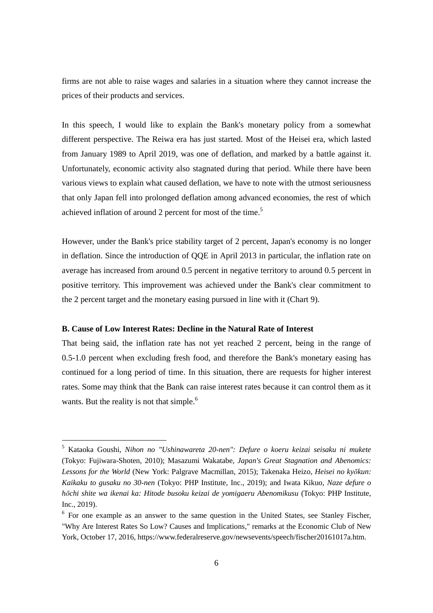firms are not able to raise wages and salaries in a situation where they cannot increase the prices of their products and services.

In this speech, I would like to explain the Bank's monetary policy from a somewhat different perspective. The Reiwa era has just started. Most of the Heisei era, which lasted from January 1989 to April 2019, was one of deflation, and marked by a battle against it. Unfortunately, economic activity also stagnated during that period. While there have been various views to explain what caused deflation, we have to note with the utmost seriousness that only Japan fell into prolonged deflation among advanced economies, the rest of which achieved inflation of around 2 percent for most of the time.<sup>5</sup>

However, under the Bank's price stability target of 2 percent, Japan's economy is no longer in deflation. Since the introduction of QQE in April 2013 in particular, the inflation rate on average has increased from around 0.5 percent in negative territory to around 0.5 percent in positive territory. This improvement was achieved under the Bank's clear commitment to the 2 percent target and the monetary easing pursued in line with it (Chart 9).

#### **B. Cause of Low Interest Rates: Decline in the Natural Rate of Interest**

 $\overline{a}$ 

That being said, the inflation rate has not yet reached 2 percent, being in the range of 0.5-1.0 percent when excluding fresh food, and therefore the Bank's monetary easing has continued for a long period of time. In this situation, there are requests for higher interest rates. Some may think that the Bank can raise interest rates because it can control them as it wants. But the reality is not that simple.<sup>6</sup>

<sup>5</sup> Kataoka Goushi, *Nihon no "Ushinawareta 20-nen": Defure o koeru keizai seisaku ni mukete* (Tokyo: Fujiwara-Shoten, 2010); Masazumi Wakatabe, *Japan's Great Stagnation and Abenomics: Lessons for the World* (New York: Palgrave Macmillan, 2015); Takenaka Heizo, *Heisei no kyōkun: Kaikaku to gusaku no 30-nen* (Tokyo: PHP Institute, Inc., 2019); and Iwata Kikuo, *Naze defure o hōchi shite wa ikenai ka: Hitode busoku keizai de yomigaeru Abenomikusu* (Tokyo: PHP Institute, Inc., 2019).

<sup>&</sup>lt;sup>6</sup> For one example as an answer to the same question in the United States, see Stanley Fischer, "Why Are Interest Rates So Low? Causes and Implications," remarks at the Economic Club of New York, October 17, 2016, https://www.federalreserve.gov/newsevents/speech/fischer20161017a.htm.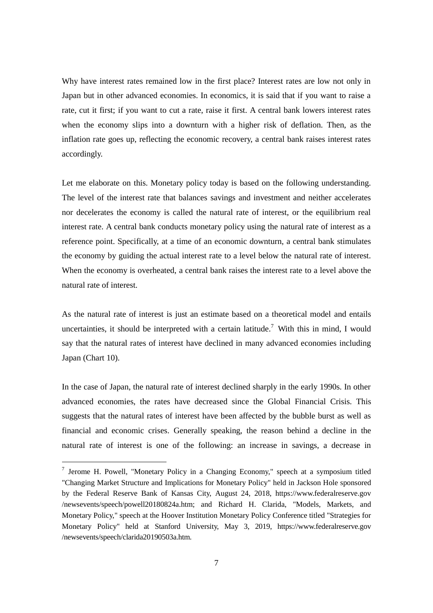Why have interest rates remained low in the first place? Interest rates are low not only in Japan but in other advanced economies. In economics, it is said that if you want to raise a rate, cut it first; if you want to cut a rate, raise it first. A central bank lowers interest rates when the economy slips into a downturn with a higher risk of deflation. Then, as the inflation rate goes up, reflecting the economic recovery, a central bank raises interest rates accordingly.

Let me elaborate on this. Monetary policy today is based on the following understanding. The level of the interest rate that balances savings and investment and neither accelerates nor decelerates the economy is called the natural rate of interest, or the equilibrium real interest rate. A central bank conducts monetary policy using the natural rate of interest as a reference point. Specifically, at a time of an economic downturn, a central bank stimulates the economy by guiding the actual interest rate to a level below the natural rate of interest. When the economy is overheated, a central bank raises the interest rate to a level above the natural rate of interest.

As the natural rate of interest is just an estimate based on a theoretical model and entails uncertainties, it should be interpreted with a certain latitude.<sup>7</sup> With this in mind, I would say that the natural rates of interest have declined in many advanced economies including Japan (Chart 10).

In the case of Japan, the natural rate of interest declined sharply in the early 1990s. In other advanced economies, the rates have decreased since the Global Financial Crisis. This suggests that the natural rates of interest have been affected by the bubble burst as well as financial and economic crises. Generally speaking, the reason behind a decline in the natural rate of interest is one of the following: an increase in savings, a decrease in

 $7$  Jerome H. Powell, "Monetary Policy in a Changing Economy," speech at a symposium titled "Changing Market Structure and Implications for Monetary Policy" held in Jackson Hole sponsored by the Federal Reserve Bank of Kansas City, August 24, 2018, https://www.federalreserve.gov /newsevents/speech/powell20180824a.htm; and Richard H. Clarida, "Models, Markets, and Monetary Policy," speech at the Hoover Institution Monetary Policy Conference titled "Strategies for Monetary Policy" held at Stanford University, May 3, 2019, https://www.federalreserve.gov /newsevents/speech/clarida20190503a.htm.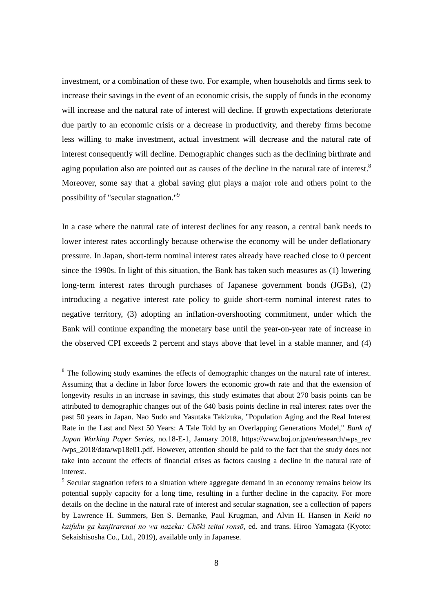investment, or a combination of these two. For example, when households and firms seek to increase their savings in the event of an economic crisis, the supply of funds in the economy will increase and the natural rate of interest will decline. If growth expectations deteriorate due partly to an economic crisis or a decrease in productivity, and thereby firms become less willing to make investment, actual investment will decrease and the natural rate of interest consequently will decline. Demographic changes such as the declining birthrate and aging population also are pointed out as causes of the decline in the natural rate of interest.<sup>8</sup> Moreover, some say that a global saving glut plays a major role and others point to the possibility of "secular stagnation."<sup>9</sup>

In a case where the natural rate of interest declines for any reason, a central bank needs to lower interest rates accordingly because otherwise the economy will be under deflationary pressure. In Japan, short-term nominal interest rates already have reached close to 0 percent since the 1990s. In light of this situation, the Bank has taken such measures as (1) lowering long-term interest rates through purchases of Japanese government bonds (JGBs), (2) introducing a negative interest rate policy to guide short-term nominal interest rates to negative territory, (3) adopting an inflation-overshooting commitment, under which the Bank will continue expanding the monetary base until the year-on-year rate of increase in the observed CPI exceeds 2 percent and stays above that level in a stable manner, and (4)

<sup>&</sup>lt;sup>8</sup> The following study examines the effects of demographic changes on the natural rate of interest. Assuming that a decline in labor force lowers the economic growth rate and that the extension of longevity results in an increase in savings, this study estimates that about 270 basis points can be attributed to demographic changes out of the 640 basis points decline in real interest rates over the past 50 years in Japan. Nao Sudo and Yasutaka Takizuka, "Population Aging and the Real Interest Rate in the Last and Next 50 Years: A Tale Told by an Overlapping Generations Model," *Bank of Japan Working Paper Series*, no.18-E-1, January 2018, https://www.boj.or.jp/en/research/wps\_rev /wps\_2018/data/wp18e01.pdf. However, attention should be paid to the fact that the study does not take into account the effects of financial crises as factors causing a decline in the natural rate of interest.

<sup>&</sup>lt;sup>9</sup> Secular stagnation refers to a situation where aggregate demand in an economy remains below its potential supply capacity for a long time, resulting in a further decline in the capacity. For more details on the decline in the natural rate of interest and secular stagnation, see a collection of papers by Lawrence H. Summers, Ben S. Bernanke, Paul Krugman, and Alvin H. Hansen in *Keiki no kaifuku ga kanjirarenai no wa nazeka: Chōki teitai ronsō*, ed. and trans. Hiroo Yamagata (Kyoto: Sekaishisosha Co., Ltd., 2019), available only in Japanese.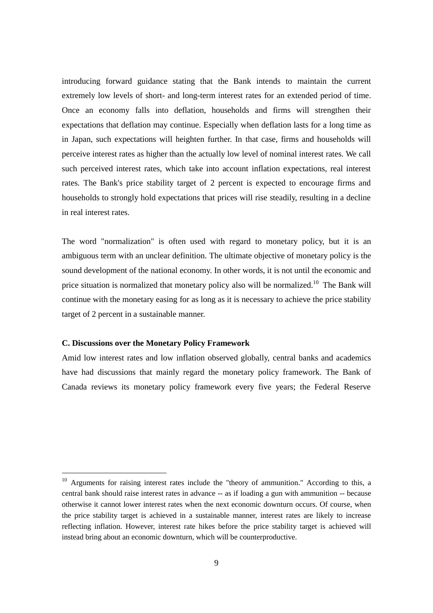introducing forward guidance stating that the Bank intends to maintain the current extremely low levels of short- and long-term interest rates for an extended period of time. Once an economy falls into deflation, households and firms will strengthen their expectations that deflation may continue. Especially when deflation lasts for a long time as in Japan, such expectations will heighten further. In that case, firms and households will perceive interest rates as higher than the actually low level of nominal interest rates. We call such perceived interest rates, which take into account inflation expectations, real interest rates. The Bank's price stability target of 2 percent is expected to encourage firms and households to strongly hold expectations that prices will rise steadily, resulting in a decline in real interest rates.

The word "normalization" is often used with regard to monetary policy, but it is an ambiguous term with an unclear definition. The ultimate objective of monetary policy is the sound development of the national economy. In other words, it is not until the economic and price situation is normalized that monetary policy also will be normalized.<sup>10</sup> The Bank will continue with the monetary easing for as long as it is necessary to achieve the price stability target of 2 percent in a sustainable manner.

#### **C. Discussions over the Monetary Policy Framework**

 $\overline{a}$ 

Amid low interest rates and low inflation observed globally, central banks and academics have had discussions that mainly regard the monetary policy framework. The Bank of Canada reviews its monetary policy framework every five years; the Federal Reserve

<sup>&</sup>lt;sup>10</sup> Arguments for raising interest rates include the "theory of ammunition." According to this, a central bank should raise interest rates in advance -- as if loading a gun with ammunition -- because otherwise it cannot lower interest rates when the next economic downturn occurs. Of course, when the price stability target is achieved in a sustainable manner, interest rates are likely to increase reflecting inflation. However, interest rate hikes before the price stability target is achieved will instead bring about an economic downturn, which will be counterproductive.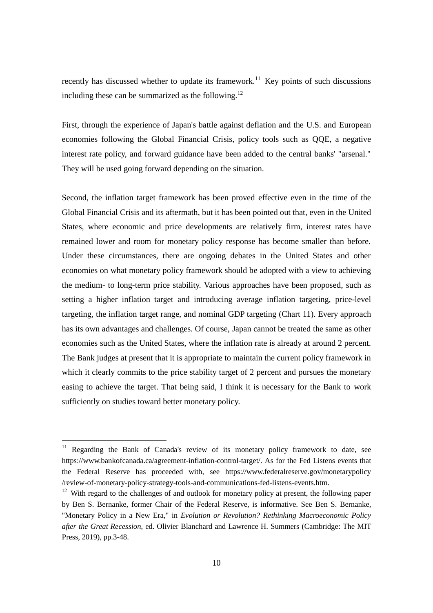recently has discussed whether to update its framework.<sup>11</sup> Key points of such discussions including these can be summarized as the following.<sup>12</sup>

First, through the experience of Japan's battle against deflation and the U.S. and European economies following the Global Financial Crisis, policy tools such as QQE, a negative interest rate policy, and forward guidance have been added to the central banks' "arsenal." They will be used going forward depending on the situation.

Second, the inflation target framework has been proved effective even in the time of the Global Financial Crisis and its aftermath, but it has been pointed out that, even in the United States, where economic and price developments are relatively firm, interest rates have remained lower and room for monetary policy response has become smaller than before. Under these circumstances, there are ongoing debates in the United States and other economies on what monetary policy framework should be adopted with a view to achieving the medium- to long-term price stability. Various approaches have been proposed, such as setting a higher inflation target and introducing average inflation targeting, price-level targeting, the inflation target range, and nominal GDP targeting (Chart 11). Every approach has its own advantages and challenges. Of course, Japan cannot be treated the same as other economies such as the United States, where the inflation rate is already at around 2 percent. The Bank judges at present that it is appropriate to maintain the current policy framework in which it clearly commits to the price stability target of 2 percent and pursues the monetary easing to achieve the target. That being said, I think it is necessary for the Bank to work sufficiently on studies toward better monetary policy.

<sup>&</sup>lt;sup>11</sup> Regarding the Bank of Canada's review of its monetary policy framework to date, see https://www.bankofcanada.ca/agreement-inflation-control-target/. As for the Fed Listens events that the Federal Reserve has proceeded with, see https://www.federalreserve.gov/monetarypolicy /review-of-monetary-policy-strategy-tools-and-communications-fed-listens-events.htm.

 $12$  With regard to the challenges of and outlook for monetary policy at present, the following paper by Ben S. Bernanke, former Chair of the Federal Reserve, is informative. See Ben S. Bernanke, "Monetary Policy in a New Era," in *Evolution or Revolution? Rethinking Macroeconomic Policy after the Great Recession*, ed. Olivier Blanchard and Lawrence H. Summers (Cambridge: The MIT Press, 2019), pp.3-48.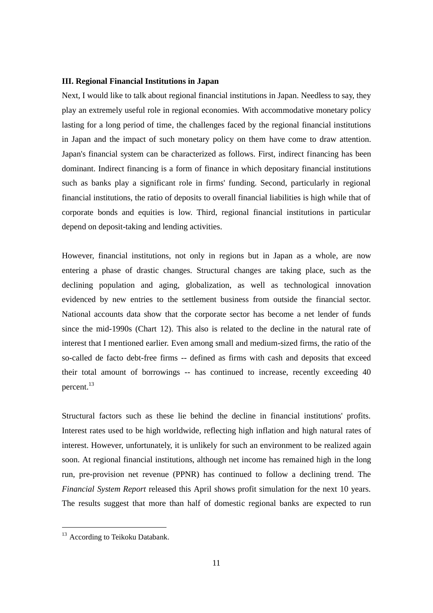#### **III. Regional Financial Institutions in Japan**

Next, I would like to talk about regional financial institutions in Japan. Needless to say, they play an extremely useful role in regional economies. With accommodative monetary policy lasting for a long period of time, the challenges faced by the regional financial institutions in Japan and the impact of such monetary policy on them have come to draw attention. Japan's financial system can be characterized as follows. First, indirect financing has been dominant. Indirect financing is a form of finance in which depositary financial institutions such as banks play a significant role in firms' funding. Second, particularly in regional financial institutions, the ratio of deposits to overall financial liabilities is high while that of corporate bonds and equities is low. Third, regional financial institutions in particular depend on deposit-taking and lending activities.

However, financial institutions, not only in regions but in Japan as a whole, are now entering a phase of drastic changes. Structural changes are taking place, such as the declining population and aging, globalization, as well as technological innovation evidenced by new entries to the settlement business from outside the financial sector. National accounts data show that the corporate sector has become a net lender of funds since the mid-1990s (Chart 12). This also is related to the decline in the natural rate of interest that I mentioned earlier. Even among small and medium-sized firms, the ratio of the so-called de facto debt-free firms -- defined as firms with cash and deposits that exceed their total amount of borrowings -- has continued to increase, recently exceeding 40 percent.<sup>13</sup>

Structural factors such as these lie behind the decline in financial institutions' profits. Interest rates used to be high worldwide, reflecting high inflation and high natural rates of interest. However, unfortunately, it is unlikely for such an environment to be realized again soon. At regional financial institutions, although net income has remained high in the long run, pre-provision net revenue (PPNR) has continued to follow a declining trend. The *Financial System Report* released this April shows profit simulation for the next 10 years. The results suggest that more than half of domestic regional banks are expected to run

-

<sup>&</sup>lt;sup>13</sup> According to Teikoku Databank.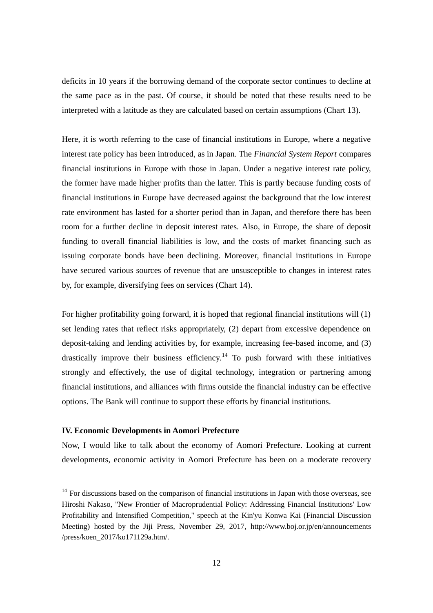deficits in 10 years if the borrowing demand of the corporate sector continues to decline at the same pace as in the past. Of course, it should be noted that these results need to be interpreted with a latitude as they are calculated based on certain assumptions (Chart 13).

Here, it is worth referring to the case of financial institutions in Europe, where a negative interest rate policy has been introduced, as in Japan. The *Financial System Report* compares financial institutions in Europe with those in Japan. Under a negative interest rate policy, the former have made higher profits than the latter. This is partly because funding costs of financial institutions in Europe have decreased against the background that the low interest rate environment has lasted for a shorter period than in Japan, and therefore there has been room for a further decline in deposit interest rates. Also, in Europe, the share of deposit funding to overall financial liabilities is low, and the costs of market financing such as issuing corporate bonds have been declining. Moreover, financial institutions in Europe have secured various sources of revenue that are unsusceptible to changes in interest rates by, for example, diversifying fees on services (Chart 14).

For higher profitability going forward, it is hoped that regional financial institutions will (1) set lending rates that reflect risks appropriately, (2) depart from excessive dependence on deposit-taking and lending activities by, for example, increasing fee-based income, and (3) drastically improve their business efficiency.<sup>14</sup> To push forward with these initiatives strongly and effectively, the use of digital technology, integration or partnering among financial institutions, and alliances with firms outside the financial industry can be effective options. The Bank will continue to support these efforts by financial institutions.

#### **IV. Economic Developments in Aomori Prefecture**

-

Now, I would like to talk about the economy of Aomori Prefecture. Looking at current developments, economic activity in Aomori Prefecture has been on a moderate recovery

 $14$  For discussions based on the comparison of financial institutions in Japan with those overseas, see Hiroshi Nakaso, "New Frontier of Macroprudential Policy: Addressing Financial Institutions' Low Profitability and Intensified Competition," speech at the Kin'yu Konwa Kai (Financial Discussion Meeting) hosted by the Jiji Press, November 29, 2017, http://www.boj.or.jp/en/announcements /press/koen\_2017/ko171129a.htm/.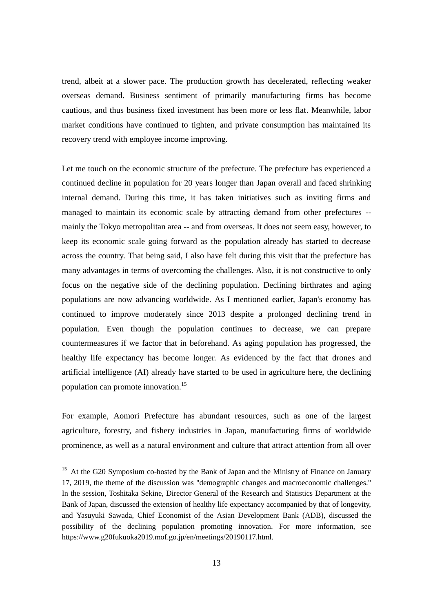trend, albeit at a slower pace. The production growth has decelerated, reflecting weaker overseas demand. Business sentiment of primarily manufacturing firms has become cautious, and thus business fixed investment has been more or less flat. Meanwhile, labor market conditions have continued to tighten, and private consumption has maintained its recovery trend with employee income improving.

Let me touch on the economic structure of the prefecture. The prefecture has experienced a continued decline in population for 20 years longer than Japan overall and faced shrinking internal demand. During this time, it has taken initiatives such as inviting firms and managed to maintain its economic scale by attracting demand from other prefectures - mainly the Tokyo metropolitan area -- and from overseas. It does not seem easy, however, to keep its economic scale going forward as the population already has started to decrease across the country. That being said, I also have felt during this visit that the prefecture has many advantages in terms of overcoming the challenges. Also, it is not constructive to only focus on the negative side of the declining population. Declining birthrates and aging populations are now advancing worldwide. As I mentioned earlier, Japan's economy has continued to improve moderately since 2013 despite a prolonged declining trend in population. Even though the population continues to decrease, we can prepare countermeasures if we factor that in beforehand. As aging population has progressed, the healthy life expectancy has become longer. As evidenced by the fact that drones and artificial intelligence (AI) already have started to be used in agriculture here, the declining population can promote innovation.<sup>15</sup>

For example, Aomori Prefecture has abundant resources, such as one of the largest agriculture, forestry, and fishery industries in Japan, manufacturing firms of worldwide prominence, as well as a natural environment and culture that attract attention from all over

<sup>&</sup>lt;sup>15</sup> At the G20 Symposium co-hosted by the Bank of Japan and the Ministry of Finance on January 17, 2019, the theme of the discussion was "demographic changes and macroeconomic challenges." In the session, Toshitaka Sekine, Director General of the Research and Statistics Department at the Bank of Japan, discussed the extension of healthy life expectancy accompanied by that of longevity, and Yasuyuki Sawada, Chief Economist of the Asian Development Bank (ADB), discussed the possibility of the declining population promoting innovation. For more information, see https://www.g20fukuoka2019.mof.go.jp/en/meetings/20190117.html.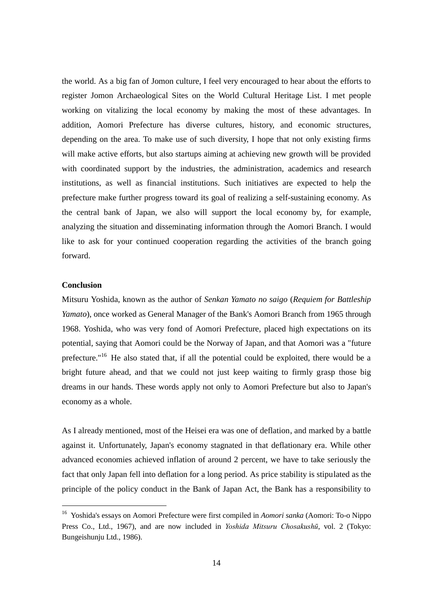the world. As a big fan of Jomon culture, I feel very encouraged to hear about the efforts to register Jomon Archaeological Sites on the World Cultural Heritage List. I met people working on vitalizing the local economy by making the most of these advantages. In addition, Aomori Prefecture has diverse cultures, history, and economic structures, depending on the area. To make use of such diversity, I hope that not only existing firms will make active efforts, but also startups aiming at achieving new growth will be provided with coordinated support by the industries, the administration, academics and research institutions, as well as financial institutions. Such initiatives are expected to help the prefecture make further progress toward its goal of realizing a self-sustaining economy. As the central bank of Japan, we also will support the local economy by, for example, analyzing the situation and disseminating information through the Aomori Branch. I would like to ask for your continued cooperation regarding the activities of the branch going forward.

#### **Conclusion**

-

Mitsuru Yoshida, known as the author of *Senkan Yamato no saigo* (*Requiem for Battleship Yamato*), once worked as General Manager of the Bank's Aomori Branch from 1965 through 1968. Yoshida, who was very fond of Aomori Prefecture, placed high expectations on its potential, saying that Aomori could be the Norway of Japan, and that Aomori was a "future prefecture."<sup>16</sup> He also stated that, if all the potential could be exploited, there would be a bright future ahead, and that we could not just keep waiting to firmly grasp those big dreams in our hands. These words apply not only to Aomori Prefecture but also to Japan's economy as a whole.

As I already mentioned, most of the Heisei era was one of deflation, and marked by a battle against it. Unfortunately, Japan's economy stagnated in that deflationary era. While other advanced economies achieved inflation of around 2 percent, we have to take seriously the fact that only Japan fell into deflation for a long period. As price stability is stipulated as the principle of the policy conduct in the Bank of Japan Act, the Bank has a responsibility to

<sup>16</sup> Yoshida's essays on Aomori Prefecture were first compiled in *Aomori sanka* (Aomori: To-o Nippo Press Co., Ltd., 1967), and are now included in *Yoshida Mitsuru Chosakushū*, vol. 2 (Tokyo: Bungeishunju Ltd., 1986).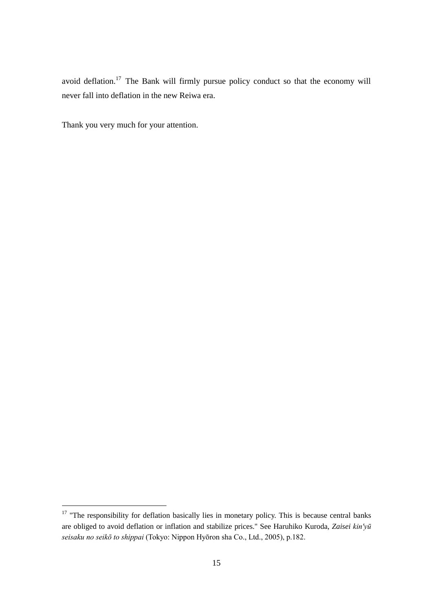avoid deflation.<sup>17</sup> The Bank will firmly pursue policy conduct so that the economy will never fall into deflation in the new Reiwa era.

Thank you very much for your attention.

-

 $17$  "The responsibility for deflation basically lies in monetary policy. This is because central banks are obliged to avoid deflation or inflation and stabilize prices." See Haruhiko Kuroda, *Zaisei kin'yū seisaku no seikō to shippai* (Tokyo: Nippon Hyōron sha Co., Ltd., 2005), p.182.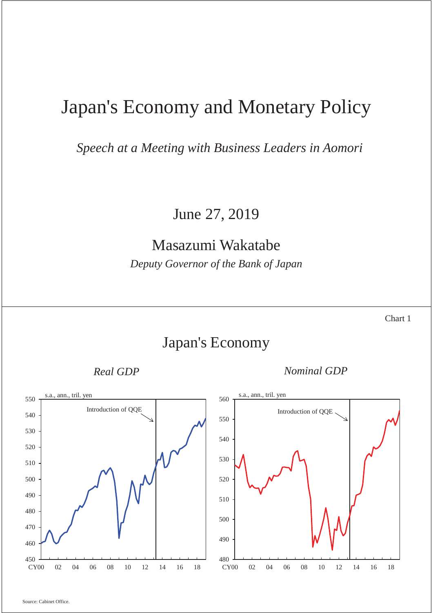# Japan's Economy and Monetary Policy

*Speech at a Meeting with Business Leaders in Aomori* 

June 27, 2019

## Masazumi Wakatabe

*Deputy Governor of the Bank of Japan* 

Chart 1

### Japan's Economy

*Real GDP Nominal GDP* 

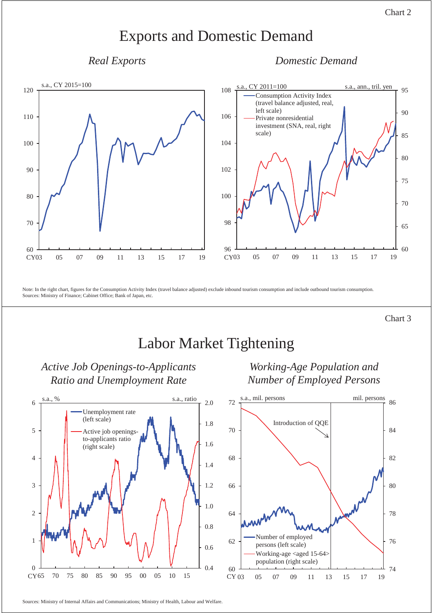### Exports and Domestic Demand

*Real Exports Domestic Demand* 



Note: In the right chart, figures for the Consumption Activity Index (travel balance adjusted) exclude inbound tourism consumption and include outbound tourism consumption. Sources: Ministry of Finance; Cabinet Office; Bank of Japan, etc.

Chart 3

## Labor Market Tightening



#### *Active Job Openings-to-Applicants Ratio and Unemployment Rate Working-Age Population and Number of Employed Persons*



Sources: Ministry of Internal Affairs and Communications; Ministry of Health, Labour and Welfare.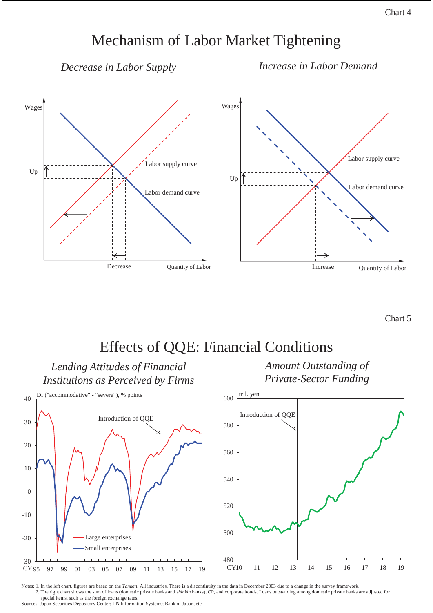### Chart 4

### Mechanism of Labor Market Tightening

*Decrease in Labor Supply*

*Increase in Labor Demand*





Notes: 1. In the left chart, figures are based on the *Tankan*. All industries. There is a discontinuity in the data in December 2003 due to a change in the survey framework. 2. The right chart shows the sum of loans (domestic private banks and *shinkin* banks), CP, and corporate bonds. Loans outstanding among domestic private banks are adjusted for special items, such as the foreign exchange rates.

Sources: Japan Securities Depository Center; I-N Information Systems; Bank of Japan, etc.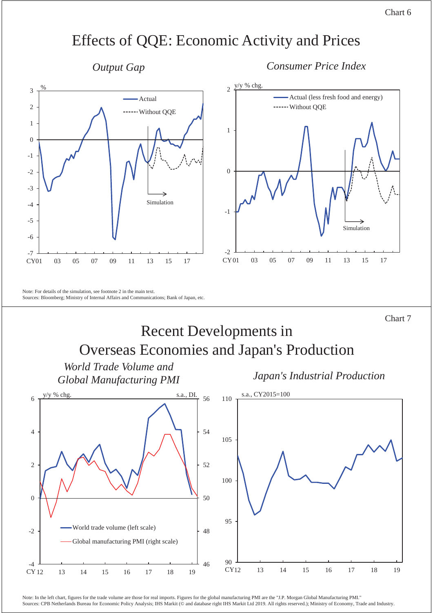### Chart 6

### Effects of QQE: Economic Activity and Prices

*Output Gap Consumer Price Index*



Chart 7

## Recent Developments in Overseas Economies and Japan's Production



Note: In the left chart, figures for the trade volume are those for real imports. Figures for the global manufacturing PMI are the "J.P. Morgan Global Manufacturing PMI." Sources: CPB Netherlands Bureau for Economic Policy Analysis; IHS Markit (© and database right IHS Markit Ltd 2019. All rights reserved.); Ministry of Economy, Trade and Industry.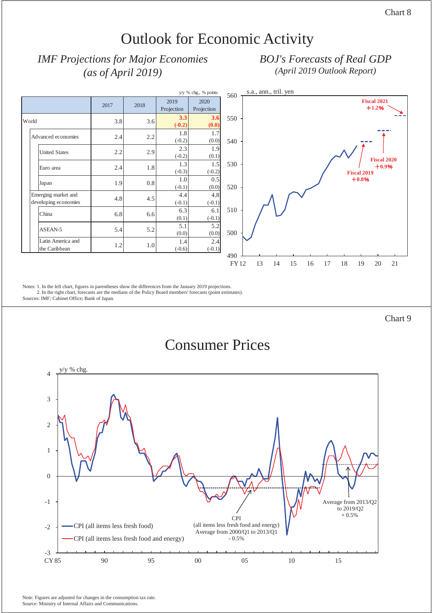## Outlook for Economic Activity

### *IMF Projections for Major Economies (as of April 2019)*

### *BOJ's Forecasts of Real GDP (April 2019 Outlook Report)*



Notes: 1. In the left chart, figures in parentheses show the differences from the January 2019 projections.

2. In the right chart, forecasts are the medians of the Policy Board members' forecasts (point estimates).

Sources: IMF; Cabinet Office; Bank of Japan.

Chart 9

### Consumer Prices

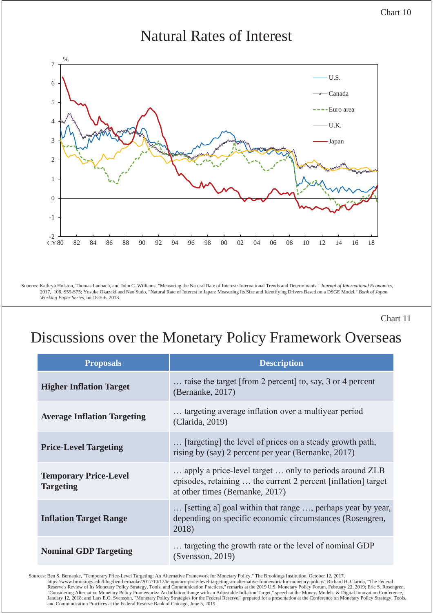

### Natural Rates of Interest



Sources: Kathryn Holston, Thomas Laubach, and John C. Williams, "Measuring the Natural Rate of Interest: International Trends and Determinants," *Journal of International Economics*, 2017, 108, S59-S75; Yosuke Okazaki and Nao Sudo, "Natural Rate of Interest in Japan: Measuring Its Size and Identifying Drivers Based on a DSGE Model," *Bank of Japan Working Paper Series,* no.18-E-6, 2018.

Chart 11

# Discussions over the Monetary Policy Framework Overseas

| <b>Proposals</b>                                 | <b>Description</b>                                                                                                                                         |
|--------------------------------------------------|------------------------------------------------------------------------------------------------------------------------------------------------------------|
| <b>Higher Inflation Target</b>                   | raise the target [from 2 percent] to, say, 3 or 4 percent<br>(Bernanke, 2017)                                                                              |
| <b>Average Inflation Targeting</b>               | targeting average inflation over a multiyear period<br>(Clarida, 2019)                                                                                     |
| <b>Price-Level Targeting</b>                     | [targeting] the level of prices on a steady growth path,<br>rising by (say) 2 percent per year (Bernanke, 2017)                                            |
| <b>Temporary Price-Level</b><br><b>Targeting</b> | apply a price-level target  only to periods around ZLB<br>episodes, retaining  the current 2 percent [inflation] target<br>at other times (Bernanke, 2017) |
| <b>Inflation Target Range</b>                    | [setting a] goal within that range , perhaps year by year,<br>depending on specific economic circumstances (Rosengren,<br>2018)                            |
| <b>Nominal GDP Targeting</b>                     | targeting the growth rate or the level of nominal GDP<br>(Svensson, 2019)                                                                                  |

Sources: Ben S. Bernanke, "Temporary Price-Level Targeting: An Alternative Framework for Monetary Policy," The Brookings Institution, October 12, 2017, https://www.brookings.edu/blog/ben-bernanke/2017/10/12/temporary-price-level-targeting-an-alternative-framework-for-monetary-policy/; Richard H. Clarida, "The Federal<br>Reserve's Review of Its Monetary Policy Strategy, Tools January 12, 2018; and Lars E.O. Svensson, "Monetary Policy Strategies for the Federal Reserve," prepared for a presentation at the Conference on Monetary Policy Strategy, Tools, and Communication Practices at the Federal Reserve Bank of Chicago, June 5, 2019.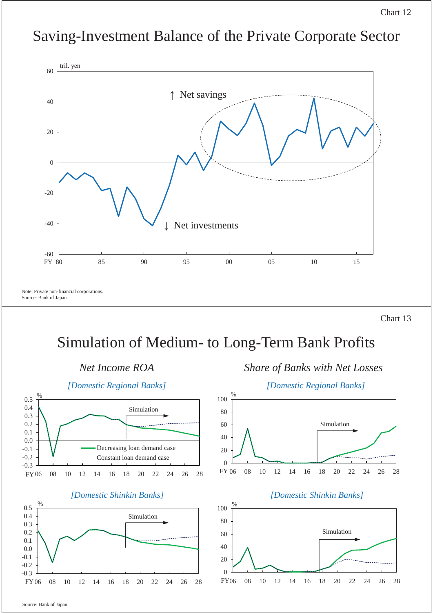## Saving-Investment Balance of the Private Corporate Sector



Chart 13

# Simulation of Medium- to Long-Term Bank Profits







### *Net Income ROA Share of Banks with Net Losses*